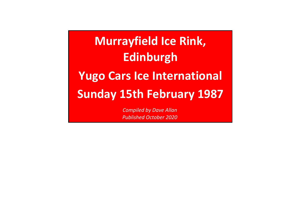## **Yugo Cars Ice InternationalSunday 15th February 1987Murrayfield Ice Rink,Edinburgh**

*Compiled by Dave AllanPublished October 2020*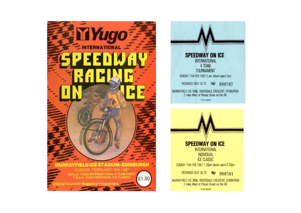





To be retained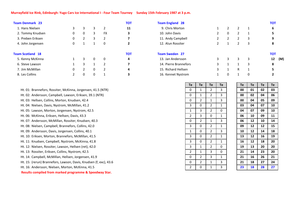## **Murrayfield Ice Rink, Edinburgh: Yugo Cars Ice International I - Four Team Tourney Sunday 15th February 1987 at 3 p.m.**

| <b>Team Denmark 23</b>  |               |                |              |                | тот |
|-------------------------|---------------|----------------|--------------|----------------|-----|
| 1. Hans Nielsen         | 3             | 3              | 3            | $\mathcal{P}$  | 11  |
| 2. Tommy Knudsen        | 0             | 0              | 3            | <b>FX</b>      | 3   |
| 3. Preben Eriksen       | 0             | 2              | 3            | $\overline{2}$ | 7   |
| 4. John Jorgensen       | 0             | 1              | $\mathbf{1}$ | $\Omega$       | 2   |
| <b>Team Scotland 18</b> |               |                |              |                | тот |
| 5. Kenny McKinna        | 1             | 3              | 0            | $\Omega$       | 4   |
| 6. Steve Lawson         | 1             | 3              | $\mathbf{1}$ | $\mathfrak z$  | 7   |
| 7. Jim McMillan         | 0             | $\overline{2}$ | 0            | $\mathcal{P}$  | 4   |
| 8. Les Collins          | $\mathcal{P}$ | 0              | 0            | 1              | 3   |
|                         |               |                |              |                |     |

| Ht. 01: Brannefors, Rossiter, McKinna, Jorgensen, 41.5 (NTR) |  |  |  |  |  |  |  |  |  |
|--------------------------------------------------------------|--|--|--|--|--|--|--|--|--|
|--------------------------------------------------------------|--|--|--|--|--|--|--|--|--|

Ht. 02: Andersson, Campbell, Lawson, Eriksen, 39.1 (NTR)

- Ht. 03: Hellsen, Collins, Morton, Knudsen, 42.4
- Ht. 04: Nielsen, Davis, Nystrom, McMillan, 41.2
- Ht. 05: Lawson, Morton, Jorgensen, Nystrom, 42.5
- Ht. 06: McKinna, Eriksen, Hellsen, Davis, 43.3
- Ht. 07: Andersson, McMillan, Rossiter, Knudsen, 40.3
- Ht. 08: Nielsen, Campbell, Brannefors, Collins, 42.0
- Ht. 09: Andersson, Davis, Jorgensen, Collins, 40.1
- Ht. 10: Eriksen, Morton, Brannefors, McMillan, 41.5
- Ht. 11: Knudsen, Campbell, Nystrom, McKinna, 41.8
- Ht. 12: Nielsen, Rossiter, Lawson, Hellsen (ret), 42.0
- Ht. 13: Rossiter, Eriksen, Collins, Nystrom, 42.5
- Ht. 14: Campbell, McMillan, Hellsen, Jorgensen, 41.9
- Ht. 15: (rerun) Brannefors, Lawson, Davis, Knudsen (f, exc), 43.6
- Ht. 16: Andersson, Nielsen, Morton, McKinna, 41.5
- **Results compiled from marked programme & Speedway Star.**

| <b>TOT</b> | <b>Team England 28</b> |   |                |   |   | <b>TOT</b> |
|------------|------------------------|---|----------------|---|---|------------|
| 11         | 9. Chris Morton        |   | $\overline{2}$ | 2 |   | 6          |
| 3          | 10. John Davis         | 2 | 0              | 2 |   | 5          |
|            | 11. Andy Campbell      |   | 2              | 2 | 3 | 9          |
|            | 12. Alun Rossiter      |   |                | 2 | 3 | 8          |
| <b>TOT</b> | <b>Team Sweden 27</b>  |   |                |   |   | <b>TOT</b> |
| 4          | 13. Jan Andersson      | 3 | 3              | 3 | 3 | (M)<br>12  |
|            | 14. Pierre Brannefors  | 3 | 1              | 1 | 3 | 8          |
|            | 15. Richard Hellsen    | 3 | 1              | R |   | 5          |
|            | 16. Kennet Nystrom     |   | 0              |   |   |            |
|            |                        |   |                |   |   |            |

|                  | Te | Te             | Te             | Te           | Te | Te | Te | Te |
|------------------|----|----------------|----------------|--------------|----|----|----|----|
| 41.5 (NTR)       | 0  | $\mathbf{1}$   | $\overline{2}$ | 3            | 00 | 01 | 02 | 03 |
| 1 (NTR)          | 0  | 1              | $\overline{2}$ | 3            | 00 | 02 | 04 | 06 |
|                  | 0  | $\overline{2}$ | $\mathbf{1}$   | 3            | 00 | 04 | 05 | 09 |
|                  | 3  | 0              | $\overline{2}$ | $\mathbf{1}$ | 03 | 04 | 07 | 10 |
|                  | 1  | 3              | $\overline{2}$ | 0            | 04 | 07 | 09 | 10 |
|                  | 2  | 3              | 0              | $\mathbf{1}$ | 06 | 10 | 09 | 11 |
| 10.3             | 0  | $\overline{2}$ | $\mathbf{1}$   | 3            | 06 | 12 | 10 | 14 |
| 0                | 3  | 0              | $\overline{2}$ | $\mathbf{1}$ | 09 | 12 | 12 | 15 |
|                  | 1  | 0              | $\overline{2}$ | 3            | 10 | 12 | 14 | 18 |
| .5               | 3  | 0              | $\overline{2}$ | $\mathbf{1}$ | 13 | 12 | 16 | 19 |
| .8               | 3  | 0              | $\overline{2}$ | $\mathbf{1}$ | 16 | 12 | 18 | 20 |
| 0.               | 3  | $\mathbf{1}$   | $\overline{2}$ | $\mathbf 0$  | 19 | 13 | 20 | 20 |
|                  | 2  | 1              | 3              | 0            | 21 | 14 | 23 | 20 |
| 1.9              | 0  | $\overline{2}$ | 3              | $\mathbf{1}$ | 21 | 16 | 26 | 21 |
| n (f, exc), 43.6 | 0  | $\overline{2}$ | $\mathbf{1}$   | 3            | 21 | 18 | 27 | 24 |
| 5                | 2  | 0              | 1              | 3            | 23 | 18 | 28 | 27 |
|                  |    |                |                |              |    |    |    |    |

| Гe                      | Te | Te | Te | Te |
|-------------------------|----|----|----|----|
| 3                       | 00 | 01 | 02 | 03 |
| $\overline{3}$          | 00 | 02 | 04 | 06 |
| $\overline{3}$          | 00 | 04 | 05 | 09 |
| $\overline{1}$          | 03 | 04 | 07 | 10 |
| $\overline{0}$          | 04 | 07 | 09 | 10 |
| $\mathbf{1}$            | 06 | 10 | 09 | 11 |
| $\overline{\mathbf{3}}$ | 06 | 12 | 10 | 14 |
| $\overline{1}$          | 09 | 12 | 12 | 15 |
| $\overline{\mathbf{3}}$ | 10 | 12 | 14 | 18 |
| $\overline{1}$          | 13 | 12 | 16 | 19 |
| $\overline{1}$          | 16 | 12 | 18 | 20 |
| $\overline{0}$          | 19 | 13 | 20 | 20 |
| $\overline{0}$          | 21 | 14 | 23 | 20 |
| $\overline{1}$          | 21 | 16 | 26 | 21 |
| $\overline{3}$          | 21 | 18 | 27 | 24 |
|                         | 23 | 18 | 28 | 27 |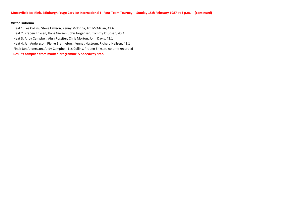## **Victor Ludorum**

**Results compiled from marked programme & Speedway Star.** Heat 1: Les Collins, Steve Lawson, Kenny McKinna, Jim McMillan, 42.6 Heat 2: Preben Eriksen, Hans Nielsen, John Jorgensen, Tommy Knudsen, 43.4Heat 3: Andy Campbell, Alun Rossiter, Chris Morton, John Davis, 43.1 Heat 4: Jan Andersson, Pierre Brannefors, Kennet Nystrom, Richard Hellsen, 43.1Final: Jan Andersson, Andy Campbell, Les Collins, Preben Eriksen, no time recorded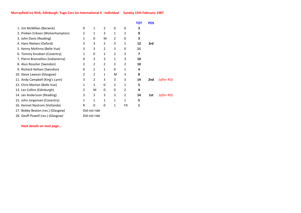|                                   |   |              |   |              |          | <b>TOT</b> | <b>POS</b> |            |
|-----------------------------------|---|--------------|---|--------------|----------|------------|------------|------------|
| 1. Jim McMillan (Berwick)         | 0 | 1            | 2 | 0            | $\Omega$ | 3          |            |            |
| 2. Preben Eriksen (Wolverhampton) | 2 | 1            | 3 | 1            | 2        | 9          |            |            |
| 3. John Davis (Reading)           | 1 | 0            | M | 2            | 0        | 3          |            |            |
| 4. Hans Nielsen (Oxford)          | 3 | 3            | 2 | 3            | 1        | 12         | 3rd        |            |
| 5. Kenny McKinna (Belle Vue)      | 3 | 3            | 2 | 3            | $\Omega$ | 11         |            |            |
| 6. Tommy Knudsen (Coventry)       | 1 | 0            | 1 | 2            | 3        | 7          |            |            |
| 7. Pierre Brannefors (Indianerna) | X | 3            | 3 | 1            | 3        | 10         |            |            |
| 8. Alun Rossiter (Swindon)        | 2 | 2            | 2 | 2            | 2        | 10         |            |            |
| 9. Richard Hellsen (Swindon)      | 0 | 2            | 1 | 0            | 1        | 4          |            |            |
| 10. Steve Lawson (Glasgow)        | 2 | 2            | 1 | M            | 3        | 8          |            |            |
| 11. Andy Campbell (King's Lynn)   | 3 | 2            | 3 | 3            | 3        | 14         | 2nd        | (after RO) |
| 12. Chris Morton (Belle Vue)      | 1 | $\mathbf{1}$ | 0 | 2            | 1        | 5          |            |            |
| 13. Les Collins (Edinburgh)       | 2 | M            | 0 | 0            | 2        | 4          |            |            |
| 14. Jan Andersson (Reading)       | 3 | 3            | 3 | 3            | 2        | 14         | 1st        | (after RO) |
| 15. John Jorgensen (Coventry)     | 1 | $\mathbf{1}$ | 1 | 1            | 1        | 5          |            |            |
| 16. Kennet Nystrom (Vetlanda)     | R | 0            | 0 | $\mathbf{1}$ | FX       | 1          |            |            |
| 17. Bobby Beaton (res.) (Glasgow) |   | Did not ride |   |              |          |            |            |            |
| 18. Geoff Powell (res.) (Glasgow) |   | Did not ride |   |              |          |            |            |            |
|                                   |   |              |   |              |          |            |            |            |

**Heat details on next page...**